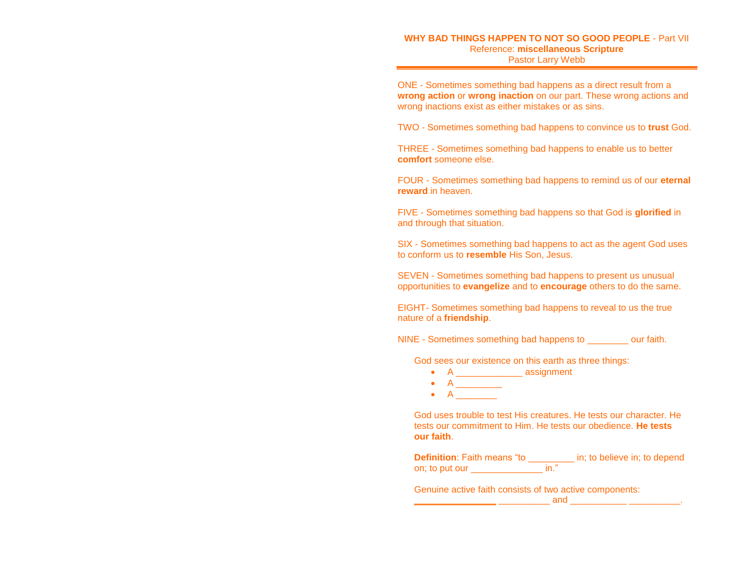## **WHY BAD THINGS HAPPEN TO NOT SO GOOD PEOPLE** - Part VII Reference: **miscellaneous Scripture** Pastor Larry Webb

ONE - Sometimes something bad happens as a direct result from a **wrong action** or **wrong inaction** on our part. These wrong actions and wrong inactions exist as either mistakes or as sins.

TWO - Sometimes something bad happens to convince us to **trust** God.

THREE - Sometimes something bad happens to enable us to better **comfort** someone else.

FOUR - Sometimes something bad happens to remind us of our **eternal reward** in heaven.

FIVE - Sometimes something bad happens so that God is **glorified** in and through that situation.

SIX - Sometimes something bad happens to act as the agent God uses to conform us to **resemble** His Son, Jesus.

SEVEN - Sometimes something bad happens to present us unusual opportunities to **evangelize** and to **encourage** others to do the same.

EIGHT- Sometimes something bad happens to reveal to us the true nature of a **friendship**.

NINE - Sometimes something bad happens to \_\_\_\_\_\_\_\_ our faith.

God sees our existence on this earth as three things:

- A \_\_\_\_\_\_\_\_\_\_\_\_\_\_ assignment
- $\bullet$  A  $\_\_\_\_\_\_\_\_\_\_$
- $\bullet$  A  $\qquad \qquad$

God uses trouble to test His creatures. He tests our character. He tests our commitment to Him. He tests our obedience. **He tests our faith**.

| <b>Definition: Faith means "to</b> | in; to believe in; to depend |
|------------------------------------|------------------------------|
| on; to put our                     |                              |

Genuine active faith consists of two active components:

**\_\_\_\_\_\_\_\_\_\_\_\_\_\_\_\_** \_\_\_\_\_\_\_\_\_\_ and \_\_\_\_\_\_\_\_\_\_\_ \_\_\_\_\_\_\_\_\_\_.